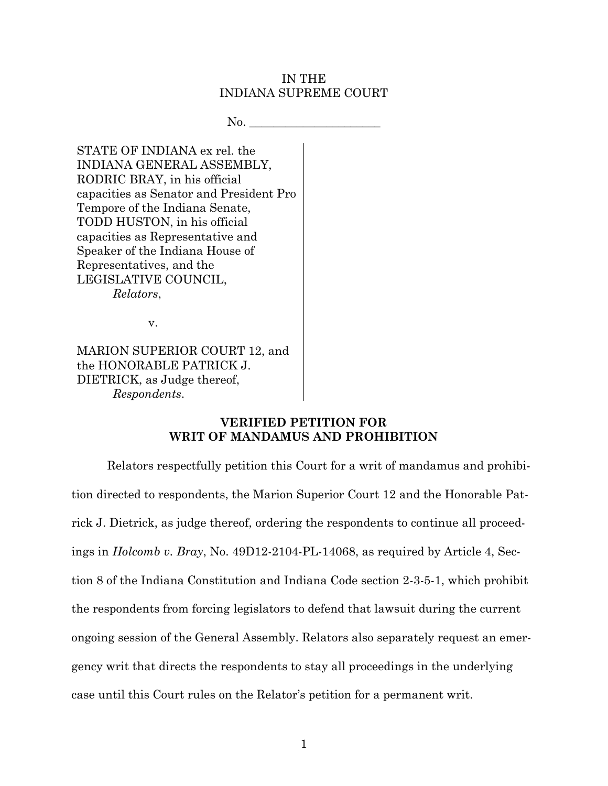#### IN THE INDIANA SUPREME COURT

 $No.$ 

STATE OF INDIANA ex rel. the INDIANA GENERAL ASSEMBLY, RODRIC BRAY, in his official capacities as Senator and President Pro Tempore of the Indiana Senate, TODD HUSTON, in his official capacities as Representative and Speaker of the Indiana House of Representatives, and the LEGISLATIVE COUNCIL, *Relators*,

v.

MARION SUPERIOR COURT 12, and the HONORABLE PATRICK J. DIETRICK, as Judge thereof, *Respondents*.

# **VERIFIED PETITION FOR WRIT OF MANDAMUS AND PROHIBITION**

Relators respectfully petition this Court for a writ of mandamus and prohibition directed to respondents, the Marion Superior Court 12 and the Honorable Patrick J. Dietrick, as judge thereof, ordering the respondents to continue all proceedings in *Holcomb v. Bray*, No. 49D12-2104-PL-14068, as required by Article 4, Section 8 of the Indiana Constitution and Indiana Code section 2-3-5-1, which prohibit the respondents from forcing legislators to defend that lawsuit during the current ongoing session of the General Assembly. Relators also separately request an emergency writ that directs the respondents to stay all proceedings in the underlying case until this Court rules on the Relator's petition for a permanent writ.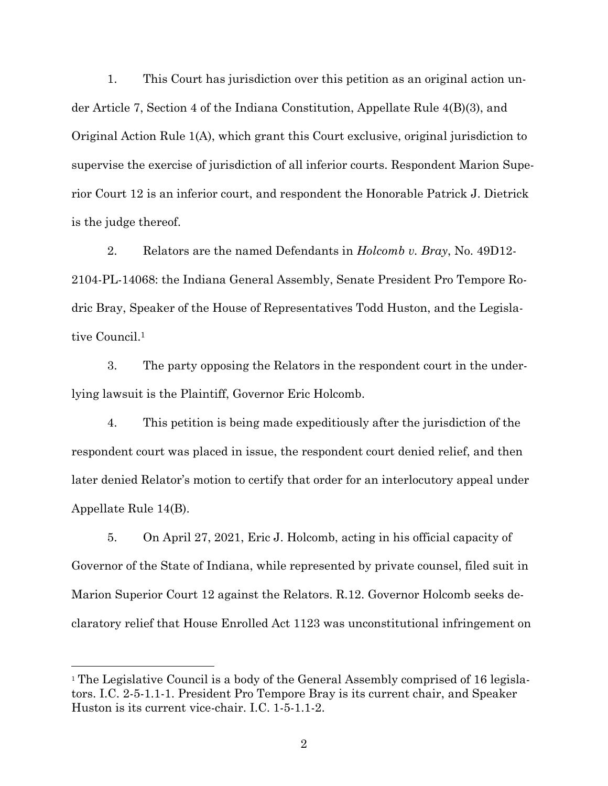1. This Court has jurisdiction over this petition as an original action under Article 7, Section 4 of the Indiana Constitution, Appellate Rule 4(B)(3), and Original Action Rule 1(A), which grant this Court exclusive, original jurisdiction to supervise the exercise of jurisdiction of all inferior courts. Respondent Marion Superior Court 12 is an inferior court, and respondent the Honorable Patrick J. Dietrick is the judge thereof.

2. Relators are the named Defendants in *Holcomb v. Bray*, No. 49D12- 2104-PL-14068: the Indiana General Assembly, Senate President Pro Tempore Rodric Bray, Speaker of the House of Representatives Todd Huston, and the Legislative Council.<sup>1</sup>

3. The party opposing the Relators in the respondent court in the underlying lawsuit is the Plaintiff, Governor Eric Holcomb.

4. This petition is being made expeditiously after the jurisdiction of the respondent court was placed in issue, the respondent court denied relief, and then later denied Relator's motion to certify that order for an interlocutory appeal under Appellate Rule 14(B).

5. On April 27, 2021, Eric J. Holcomb, acting in his official capacity of Governor of the State of Indiana, while represented by private counsel, filed suit in Marion Superior Court 12 against the Relators. R.12. Governor Holcomb seeks declaratory relief that House Enrolled Act 1123 was unconstitutional infringement on

l

<sup>1</sup> The Legislative Council is a body of the General Assembly comprised of 16 legislators. I.C. 2-5-1.1-1. President Pro Tempore Bray is its current chair, and Speaker Huston is its current vice-chair. I.C. 1-5-1.1-2.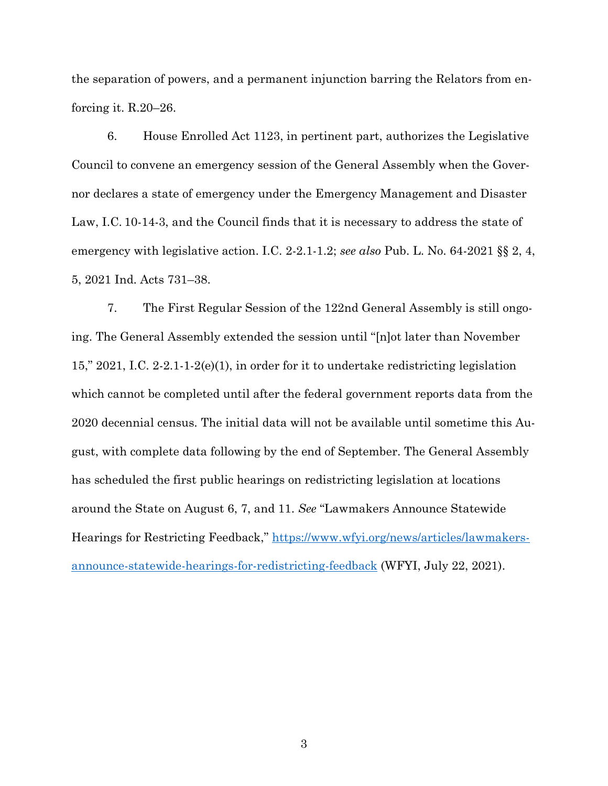the separation of powers, and a permanent injunction barring the Relators from enforcing it. R.20–26.

6. House Enrolled Act 1123, in pertinent part, authorizes the Legislative Council to convene an emergency session of the General Assembly when the Governor declares a state of emergency under the Emergency Management and Disaster Law, I.C. 10-14-3, and the Council finds that it is necessary to address the state of emergency with legislative action. I.C. 2-2.1-1.2; *see also* Pub. L. No. 64-2021 §§ 2, 4, 5, 2021 Ind. Acts 731–38.

7. The First Regular Session of the 122nd General Assembly is still ongoing. The General Assembly extended the session until "[n]ot later than November 15," 2021, I.C. 2-2.1-1-2(e)(1), in order for it to undertake redistricting legislation which cannot be completed until after the federal government reports data from the 2020 decennial census. The initial data will not be available until sometime this August, with complete data following by the end of September. The General Assembly has scheduled the first public hearings on redistricting legislation at locations around the State on August 6, 7, and 11. *See* "Lawmakers Announce Statewide Hearings for Restricting Feedback," [https://www.wfyi.org/news/articles/lawmakers](https://www.wfyi.org/news/articles/lawmakers-announce-statewide-hearings-for-redistricting-feedback)[announce-statewide-hearings-for-redistricting-feedback](https://www.wfyi.org/news/articles/lawmakers-announce-statewide-hearings-for-redistricting-feedback) (WFYI, July 22, 2021).

3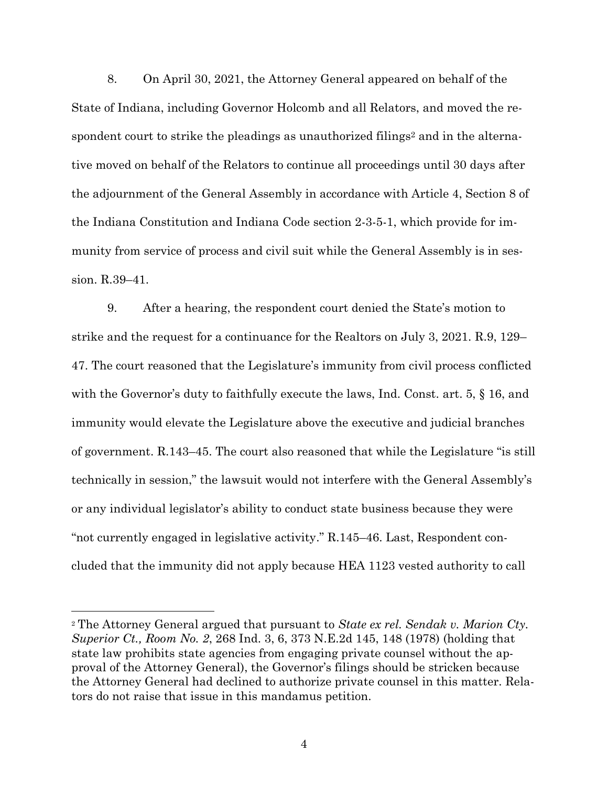8. On April 30, 2021, the Attorney General appeared on behalf of the State of Indiana, including Governor Holcomb and all Relators, and moved the respondent court to strike the pleadings as unauthorized filings<sup>2</sup> and in the alternative moved on behalf of the Relators to continue all proceedings until 30 days after the adjournment of the General Assembly in accordance with Article 4, Section 8 of the Indiana Constitution and Indiana Code section 2-3-5-1, which provide for immunity from service of process and civil suit while the General Assembly is in session. R.39–41.

9. After a hearing, the respondent court denied the State's motion to strike and the request for a continuance for the Realtors on July 3, 2021. R.9, 129– 47. The court reasoned that the Legislature's immunity from civil process conflicted with the Governor's duty to faithfully execute the laws, Ind. Const. art. 5,  $\S$  16, and immunity would elevate the Legislature above the executive and judicial branches of government. R.143–45. The court also reasoned that while the Legislature "is still technically in session," the lawsuit would not interfere with the General Assembly's or any individual legislator's ability to conduct state business because they were "not currently engaged in legislative activity." R.145–46. Last, Respondent concluded that the immunity did not apply because HEA 1123 vested authority to call

l

<sup>2</sup> The Attorney General argued that pursuant to *State ex rel. Sendak v. Marion Cty. Superior Ct., Room No. 2*, 268 Ind. 3, 6, 373 N.E.2d 145, 148 (1978) (holding that state law prohibits state agencies from engaging private counsel without the approval of the Attorney General), the Governor's filings should be stricken because the Attorney General had declined to authorize private counsel in this matter. Relators do not raise that issue in this mandamus petition.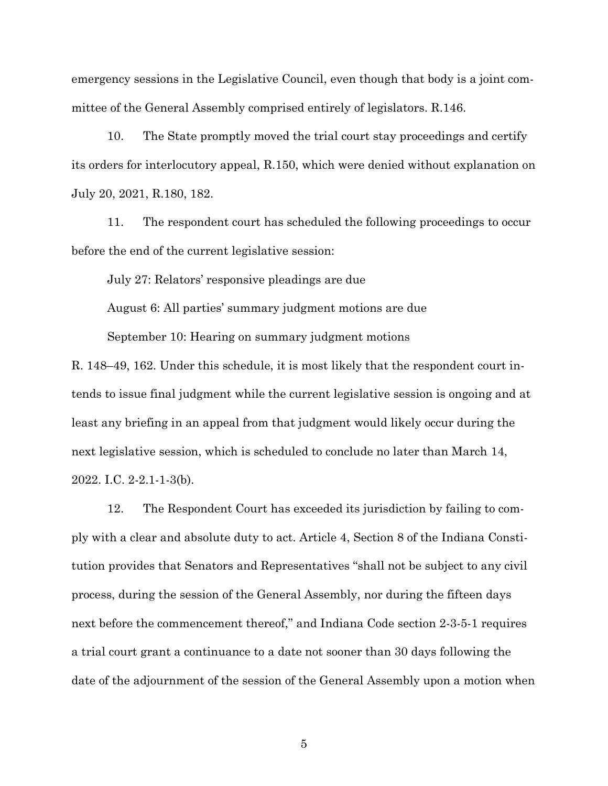emergency sessions in the Legislative Council, even though that body is a joint committee of the General Assembly comprised entirely of legislators. R.146.

10. The State promptly moved the trial court stay proceedings and certify its orders for interlocutory appeal, R.150, which were denied without explanation on July 20, 2021, R.180, 182.

11. The respondent court has scheduled the following proceedings to occur before the end of the current legislative session:

July 27: Relators' responsive pleadings are due August 6: All parties' summary judgment motions are due September 10: Hearing on summary judgment motions

R. 148–49, 162. Under this schedule, it is most likely that the respondent court intends to issue final judgment while the current legislative session is ongoing and at least any briefing in an appeal from that judgment would likely occur during the next legislative session, which is scheduled to conclude no later than March 14, 2022. I.C. 2-2.1-1-3(b).

12. The Respondent Court has exceeded its jurisdiction by failing to comply with a clear and absolute duty to act. Article 4, Section 8 of the Indiana Constitution provides that Senators and Representatives "shall not be subject to any civil process, during the session of the General Assembly, nor during the fifteen days next before the commencement thereof," and Indiana Code section 2-3-5-1 requires a trial court grant a continuance to a date not sooner than 30 days following the date of the adjournment of the session of the General Assembly upon a motion when

5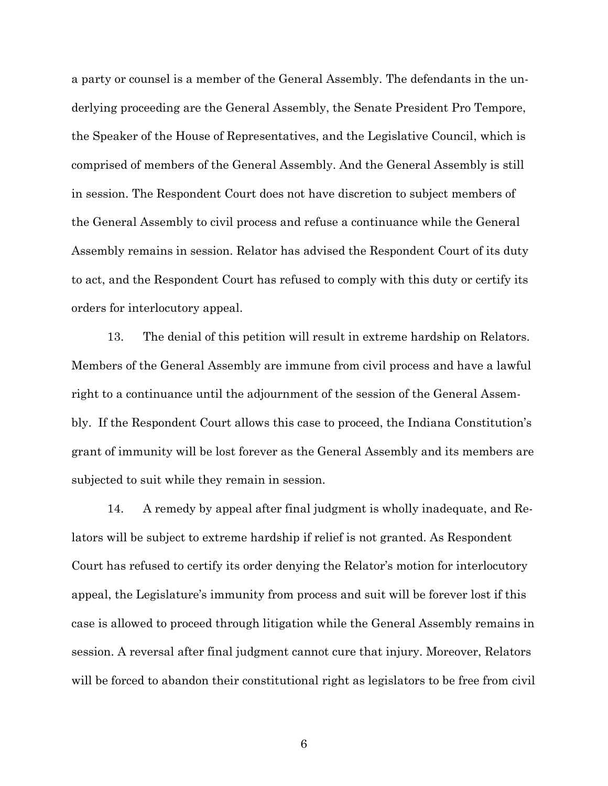a party or counsel is a member of the General Assembly. The defendants in the underlying proceeding are the General Assembly, the Senate President Pro Tempore, the Speaker of the House of Representatives, and the Legislative Council, which is comprised of members of the General Assembly. And the General Assembly is still in session. The Respondent Court does not have discretion to subject members of the General Assembly to civil process and refuse a continuance while the General Assembly remains in session. Relator has advised the Respondent Court of its duty to act, and the Respondent Court has refused to comply with this duty or certify its orders for interlocutory appeal.

13. The denial of this petition will result in extreme hardship on Relators. Members of the General Assembly are immune from civil process and have a lawful right to a continuance until the adjournment of the session of the General Assembly. If the Respondent Court allows this case to proceed, the Indiana Constitution's grant of immunity will be lost forever as the General Assembly and its members are subjected to suit while they remain in session.

14. A remedy by appeal after final judgment is wholly inadequate, and Relators will be subject to extreme hardship if relief is not granted. As Respondent Court has refused to certify its order denying the Relator's motion for interlocutory appeal, the Legislature's immunity from process and suit will be forever lost if this case is allowed to proceed through litigation while the General Assembly remains in session. A reversal after final judgment cannot cure that injury. Moreover, Relators will be forced to abandon their constitutional right as legislators to be free from civil

6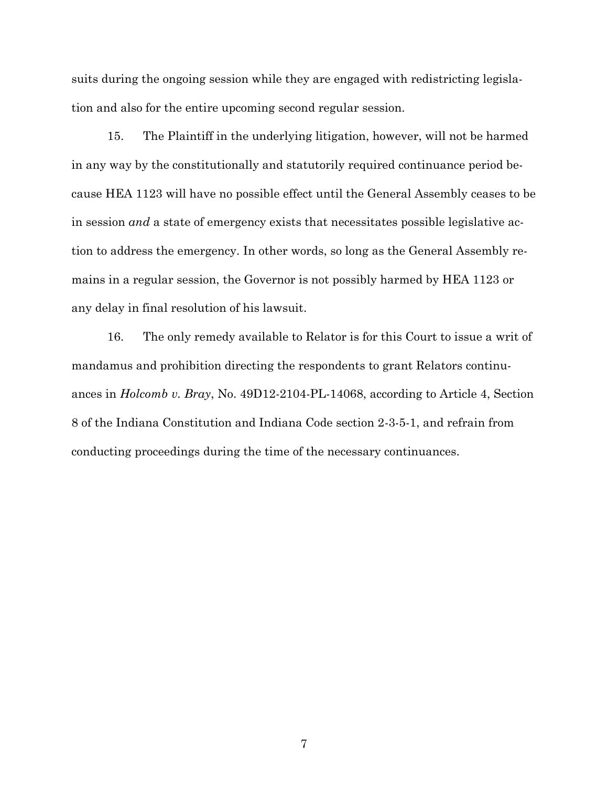suits during the ongoing session while they are engaged with redistricting legislation and also for the entire upcoming second regular session.

15. The Plaintiff in the underlying litigation, however, will not be harmed in any way by the constitutionally and statutorily required continuance period because HEA 1123 will have no possible effect until the General Assembly ceases to be in session *and* a state of emergency exists that necessitates possible legislative action to address the emergency. In other words, so long as the General Assembly remains in a regular session, the Governor is not possibly harmed by HEA 1123 or any delay in final resolution of his lawsuit.

16. The only remedy available to Relator is for this Court to issue a writ of mandamus and prohibition directing the respondents to grant Relators continuances in *Holcomb v. Bray*, No. 49D12-2104-PL-14068, according to Article 4, Section 8 of the Indiana Constitution and Indiana Code section 2-3-5-1, and refrain from conducting proceedings during the time of the necessary continuances.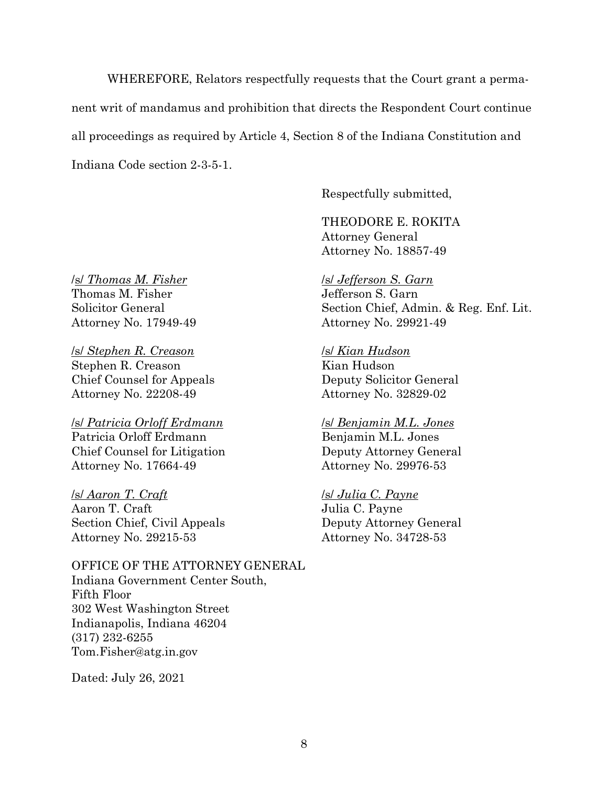WHEREFORE, Relators respectfully requests that the Court grant a permanent writ of mandamus and prohibition that directs the Respondent Court continue all proceedings as required by Article 4, Section 8 of the Indiana Constitution and Indiana Code section 2-3-5-1.

Respectfully submitted,

THEODORE E. ROKITA Attorney General Attorney No. 18857-49

/s/ *Jefferson S. Garn* Jefferson S. Garn Section Chief, Admin. & Reg. Enf. Lit. Attorney No. 29921-49

## /s/ *Kian Hudson*

Kian Hudson Deputy Solicitor General Attorney No. 32829-02

## /s/ *Benjamin M.L. Jones*

Benjamin M.L. Jones Deputy Attorney General Attorney No. 29976-53

# /s/ *Julia C. Payne*

Julia C. Payne Deputy Attorney General Attorney No. 34728-53

/s/ *Thomas M. Fisher* Thomas M. Fisher Solicitor General Attorney No. 17949-49

/s/ *Stephen R. Creason* Stephen R. Creason Chief Counsel for Appeals Attorney No. 22208-49

/s/ *Patricia Orloff Erdmann* Patricia Orloff Erdmann Chief Counsel for Litigation Attorney No. 17664-49

/s/ *Aaron T. Craft* Aaron T. Craft Section Chief, Civil Appeals Attorney No. 29215-53

OFFICE OF THE ATTORNEY GENERAL Indiana Government Center South, Fifth Floor 302 West Washington Street Indianapolis, Indiana 46204 (317) 232-6255 Tom.Fisher@atg.in.gov

Dated: July 26, 2021